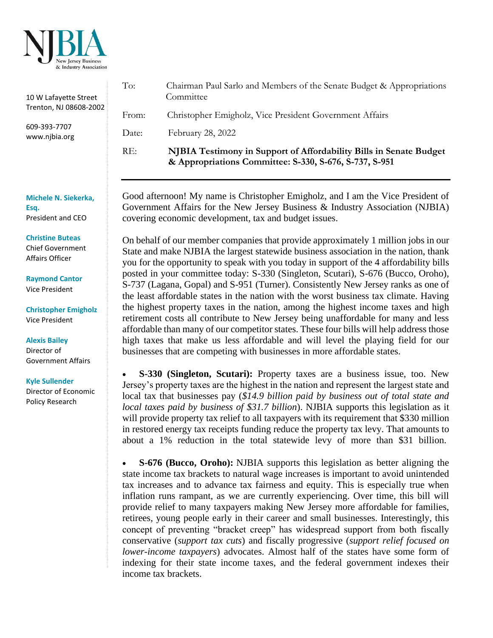

| 10 W Lafayette Street<br>Trenton, NJ 08608-2002 | To:                                                                                                                                                                                                                       | Chairman Paul Sarlo and Members of the Senate Budget & Appropriations                                                        |
|-------------------------------------------------|---------------------------------------------------------------------------------------------------------------------------------------------------------------------------------------------------------------------------|------------------------------------------------------------------------------------------------------------------------------|
|                                                 |                                                                                                                                                                                                                           | Committee                                                                                                                    |
|                                                 | From:                                                                                                                                                                                                                     | Christopher Emigholz, Vice President Government Affairs                                                                      |
| 609-393-7707<br>www.njbia.org                   | Date:                                                                                                                                                                                                                     | February 28, 2022                                                                                                            |
|                                                 | RE:                                                                                                                                                                                                                       | NJBIA Testimony in Support of Affordability Bills in Senate Budget<br>& Appropriations Committee: S-330, S-676, S-737, S-951 |
|                                                 | Good afternoon! My name is Christopher Emigholz, and I am the Vice President of<br>Government Affairs for the New Jersey Business & Industry Association (NJBIA)<br>covering economic development, tax and budget issues. |                                                                                                                              |
| Michele N. Siekerka,<br>Esq.                    |                                                                                                                                                                                                                           |                                                                                                                              |
| President and CEO                               |                                                                                                                                                                                                                           |                                                                                                                              |
|                                                 |                                                                                                                                                                                                                           |                                                                                                                              |
| <b>Christine Buteas</b>                         |                                                                                                                                                                                                                           | On behalf of our member companies that provide approximately 1 million jobs in our                                           |
| <b>Chief Government</b><br>Affairs Officer      | State and make NJBIA the largest statewide business association in the nation, thank                                                                                                                                      |                                                                                                                              |
|                                                 | you for the opportunity to speak with you today in support of the 4 affordability bills                                                                                                                                   |                                                                                                                              |
| <b>Raymond Cantor</b>                           | posted in your committee today: S-330 (Singleton, Scutari), S-676 (Bucco, Oroho),                                                                                                                                         |                                                                                                                              |
| <b>Vice President</b>                           | S-737 (Lagana, Gopal) and S-951 (Turner). Consistently New Jersey ranks as one of                                                                                                                                         |                                                                                                                              |
|                                                 | the least affordable states in the nation with the worst business tax climate. Having                                                                                                                                     |                                                                                                                              |
| <b>Christopher Emigholz</b>                     | the highest property taxes in the nation, among the highest income taxes and high<br>retirement costs all contribute to New Jersey being unaffordable for many and less                                                   |                                                                                                                              |
| <b>Vice President</b>                           | affordable than many of our competitor states. These four bills will help address those                                                                                                                                   |                                                                                                                              |
|                                                 |                                                                                                                                                                                                                           |                                                                                                                              |

**Alexis Bailey** Director of Government Affairs

**Kyle Sullender**

Director of Economic Policy Research

• **S-330 (Singleton, Scutari):** Property taxes are a business issue, too. New Jersey's property taxes are the highest in the nation and represent the largest state and local tax that businesses pay (*\$14.9 billion paid by business out of total state and local taxes paid by business of \$31.7 billion*). NJBIA supports this legislation as it will provide property tax relief to all taxpayers with its requirement that \$330 million in restored energy tax receipts funding reduce the property tax levy. That amounts to about a 1% reduction in the total statewide levy of more than \$31 billion.

high taxes that make us less affordable and will level the playing field for our

businesses that are competing with businesses in more affordable states.

• **S-676 (Bucco, Oroho):** NJBIA supports this legislation as better aligning the state income tax brackets to natural wage increases is important to avoid unintended tax increases and to advance tax fairness and equity. This is especially true when inflation runs rampant, as we are currently experiencing. Over time, this bill will provide relief to many taxpayers making New Jersey more affordable for families, retirees, young people early in their career and small businesses. Interestingly, this concept of preventing "bracket creep" has widespread support from both fiscally conservative (*support tax cuts*) and fiscally progressive (*support relief focused on lower-income taxpayers*) advocates. Almost half of the states have some form of indexing for their state income taxes, and the federal government indexes their income tax brackets.